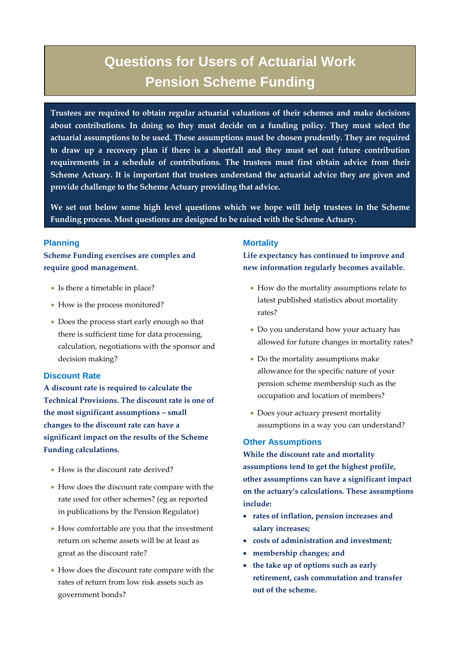# **Questions for Users of Actuarial Work Pension Scheme Funding**

**Trustees are required to obtain regular actuarial valuations of their schemes and make decisions about contributions. In doing so they must decide on a funding policy. They must select the actuarial assumptions to be used. These assumptions must be chosen prudently. They are required to draw up a recovery plan if there is a shortfall and they must set out future contribution requirements in a schedule of contributions. The trustees must first obtain advice from their Scheme Actuary. It is important that trustees understand the actuarial advice they are given and provide challenge to the Scheme Actuary providing that advice.**

**We set out below some high level questions which we hope will help trustees in the Scheme Funding process. Most questions are designed to be raised with the Scheme Actuary.**

## **Planning**

**Scheme Funding exercises are complex and require good management.**

- Is there a timetable in place?
- How is the process monitored?
- Does the process start early enough so that there is sufficient time for data processing, calculation, negotiations with the sponsor and decision making?

## **Discount Rate**

**A discount rate is required to calculate the Technical Provisions. The discount rate is one of the most significant assumptions – small changes to the discount rate can have a significant impact on the results of the Scheme Funding calculations.**

- How is the discount rate derived?
- How does the discount rate compare with the rate used for other schemes? (eg as reported in publications by the Pension Regulator)
- How comfortable are you that the investment return on scheme assets will be at least as great as the discount rate?
- How does the discount rate compare with the rates of return from low risk assets such as government bonds?

## **Mortality**

**Life expectancy has continued to improve and new information regularly becomes available.**

- How do the mortality assumptions relate to latest published statistics about mortality rates?
- Do you understand how your actuary has allowed for future changes in mortality rates?
- Do the mortality assumptions make allowance for the specific nature of your pension scheme membership such as the occupation and location of members?
- Does your actuary present mortality assumptions in a way you can understand?

## **Other Assumptions**

**While the discount rate and mortality assumptions tend to get the highest profile, other assumptions can have a significant impact on the actuary's calculations. These assumptions include:**

- **rates of inflation, pension increases and salary increases;**
- **costs of administration and investment;**
- **membership changes; and**
- **the take up of options such as early retirement, cash commutation and transfer out of the scheme.**